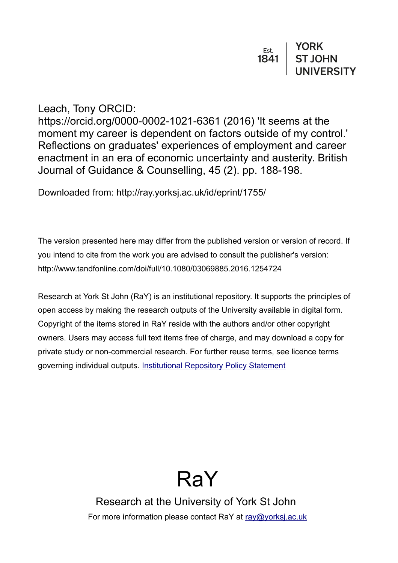| Est. | <b>YORK</b>    |
|------|----------------|
| 1841 | <b>ST JOHN</b> |
|      | UNIVERSITY     |

Leach, Tony ORCID:

https://orcid.org/0000-0002-1021-6361 (2016) 'It seems at the moment my career is dependent on factors outside of my control.' Reflections on graduates' experiences of employment and career enactment in an era of economic uncertainty and austerity. British Journal of Guidance & Counselling, 45 (2). pp. 188-198.

Downloaded from: http://ray.yorksj.ac.uk/id/eprint/1755/

The version presented here may differ from the published version or version of record. If you intend to cite from the work you are advised to consult the publisher's version: http://www.tandfonline.com/doi/full/10.1080/03069885.2016.1254724

Research at York St John (RaY) is an institutional repository. It supports the principles of open access by making the research outputs of the University available in digital form. Copyright of the items stored in RaY reside with the authors and/or other copyright owners. Users may access full text items free of charge, and may download a copy for private study or non-commercial research. For further reuse terms, see licence terms governing individual outputs. [Institutional Repository Policy Statement](https://www.yorksj.ac.uk/ils/repository-policies/)



Research at the University of York St John For more information please contact RaY at [ray@yorksj.ac.uk](mailto:ray@yorksj.ac.uk)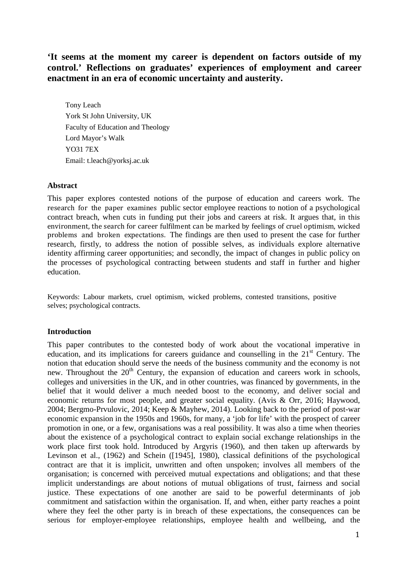**'It seems at the moment my career is dependent on factors outside of my control.' Reflections on graduates' experiences of employment and career enactment in an era of economic uncertainty and austerity.**

Tony Leach York St John University, UK Faculty of Education and Theology Lord Mayor's Walk YO31 7EX Email: t.leach@yorksj.ac.uk

# **Abstract**

This paper explores contested notions of the purpose of education and careers work. The research for the paper examines public sector employee reactions to notion of a psychological contract breach, when cuts in funding put their jobs and careers at risk. It argues that, in this environment, the search for career fulfilment can be marked by feelings of cruel optimism, wicked problems and broken expectations. The findings are then used to present the case for further research, firstly, to address the notion of possible selves, as individuals explore alternative identity affirming career opportunities; and secondly, the impact of changes in public policy on the processes of psychological contracting between students and staff in further and higher education.

Keywords: Labour markets, cruel optimism, wicked problems, contested transitions, positive selves; psychological contracts.

# **Introduction**

This paper contributes to the contested body of work about the vocational imperative in education, and its implications for careers guidance and counselling in the  $21<sup>st</sup>$  Century. The notion that education should serve the needs of the business community and the economy is not new. Throughout the  $20<sup>th</sup>$  Century, the expansion of education and careers work in schools, colleges and universities in the UK, and in other countries, was financed by governments, in the belief that it would deliver a much needed boost to the economy, and deliver social and economic returns for most people, and greater social equality. (Avis & Orr, 2016; Haywood, 2004; Bergmo-Prvulovic, 2014; Keep & Mayhew, 2014). Looking back to the period of post-war economic expansion in the 1950s and 1960s, for many, a 'job for life' with the prospect of career promotion in one, or a few, organisations was a real possibility. It was also a time when theories about the existence of a psychological contract to explain social exchange relationships in the work place first took hold. Introduced by Argyris (1960), and then taken up afterwards by Levinson et al., (1962) and Schein ([1945], 1980), classical definitions of the psychological contract are that it is implicit, unwritten and often unspoken; involves all members of the organisation; is concerned with perceived mutual expectations and obligations; and that these implicit understandings are about notions of mutual obligations of trust, fairness and social justice. These expectations of one another are said to be powerful determinants of job commitment and satisfaction within the organisation. If, and when, either party reaches a point where they feel the other party is in breach of these expectations, the consequences can be serious for employer-employee relationships, employee health and wellbeing, and the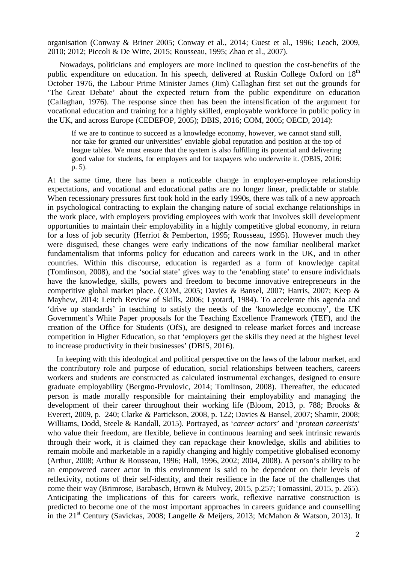organisation (Conway & Briner 2005; Conway et al., 2014; Guest et al., 1996; Leach, 2009, 2010; 2012; Piccoli & De Witte, 2015; Rousseau, 1995; Zhao et al., 2007).

Nowadays, politicians and employers are more inclined to question the cost-benefits of the public expenditure on education. In his speech, delivered at Ruskin College Oxford on 18<sup>th</sup> October 1976, the Labour Prime Minister James (Jim) Callaghan first set out the grounds for 'The Great Debate' about the expected return from the public expenditure on education (Callaghan, 1976). The response since then has been the intensification of the argument for vocational education and training for a highly skilled, employable workforce in public policy in the UK, and across Europe (CEDEFOP, 2005); DBIS, 2016; COM, 2005; OECD, 2014):

If we are to continue to succeed as a knowledge economy, however, we cannot stand still, nor take for granted our universities' enviable global reputation and position at the top of league tables. We must ensure that the system is also fulfilling its potential and delivering good value for students, for employers and for taxpayers who underwrite it. (DBIS, 2016: p. 5).

At the same time, there has been a noticeable change in employer-employee relationship expectations, and vocational and educational paths are no longer linear, predictable or stable. When recessionary pressures first took hold in the early 1990s, there was talk of a new approach in psychological contracting to explain the changing nature of social exchange relationships in the work place, with employers providing employees with work that involves skill development opportunities to maintain their employability in a highly competitive global economy, in return for a loss of job security (Herriot & Pemberton, 1995; Rousseau, 1995). However much they were disguised, these changes were early indications of the now familiar neoliberal market fundamentalism that informs policy for education and careers work in the UK, and in other countries. Within this discourse, education is regarded as a form of knowledge capital (Tomlinson, 2008), and the 'social state' gives way to the 'enabling state' to ensure individuals have the knowledge, skills, powers and freedom to become innovative entrepreneurs in the competitive global market place. (COM, 2005; Davies & Bansel, 2007; Harris, 2007; Keep & Mayhew, 2014: Leitch Review of Skills, 2006; Lyotard, 1984). To accelerate this agenda and 'drive up standards' in teaching to satisfy the needs of the 'knowledge economy', the UK Government's White Paper proposals for the Teaching Excellence Framework (TEF), and the creation of the Office for Students (OfS), are designed to release market forces and increase competition in Higher Education, so that 'employers get the skills they need at the highest level to increase productivity in their businesses' (DBIS, 2016).

In keeping with this ideological and political perspective on the laws of the labour market, and the contributory role and purpose of education, social relationships between teachers, careers workers and students are constructed as calculated instrumental exchanges, designed to ensure graduate employability (Bergmo-Prvulovic, 2014; Tomlinson, 2008). Thereafter, the educated person is made morally responsible for maintaining their employability and managing the development of their career throughout their working life (Bloom, 2013, p. 788; Brooks & Everett, 2009, p. 240; Clarke & Partickson, 2008, p. 122; Davies & Bansel, 2007; Shamir, 2008; Williams, Dodd, Steele & Randall, 2015). Portrayed, as '*career actors*' and '*protean careerists*' who value their freedom, are flexible, believe in continuous learning and seek intrinsic rewards through their work, it is claimed they can repackage their knowledge, skills and abilities to remain mobile and marketable in a rapidly changing and highly competitive globalised economy (Arthur, 2008; Arthur & Rousseau, 1996; Hall, 1996, 2002; 2004, 2008). A person's ability to be an empowered career actor in this environment is said to be dependent on their levels of reflexivity, notions of their self-identity, and their resilience in the face of the challenges that come their way (Brimrose, Barabasch, Brown & Mulvey, 2015, p.257; Tomassini, 2015, p. 265). Anticipating the implications of this for careers work, reflexive narrative construction is predicted to become one of the most important approaches in careers guidance and counselling in the  $21<sup>st</sup>$  Century (Savickas, 2008; Langelle & Meijers, 2013; McMahon & Watson, 2013). It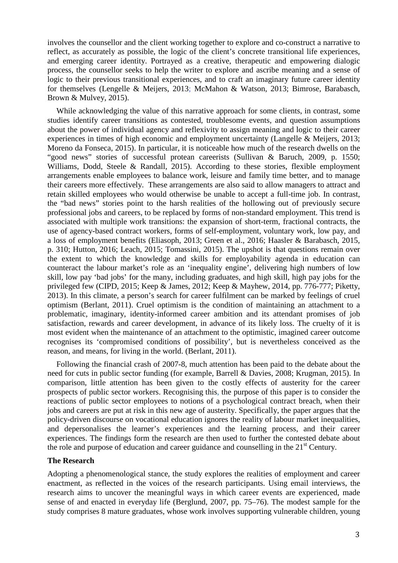involves the counsellor and the client working together to explore and co-construct a narrative to reflect, as accurately as possible, the logic of the client's concrete transitional life experiences, and emerging career identity. Portrayed as a creative, therapeutic and empowering dialogic process, the counsellor seeks to help the writer to explore and ascribe meaning and a sense of logic to their previous transitional experiences, and to craft an imaginary future career identity for themselves (Lengelle & Meijers, 2013; McMahon & Watson, 2013; Bimrose, Barabasch, Brown & Mulvey, 2015).

While acknowledging the value of this narrative approach for some clients, in contrast, some studies identify career transitions as contested, troublesome events, and question assumptions about the power of individual agency and reflexivity to assign meaning and logic to their career experiences in times of high economic and employment uncertainty (Langelle & Meijers, 2013; Moreno da Fonseca, 2015). In particular, it is noticeable how much of the research dwells on the "good news" stories of successful protean careerists (Sullivan & Baruch, 2009, p. 1550; Williams, Dodd, Steele & Randall, 2015). According to these stories, flexible employment arrangements enable employees to balance work, leisure and family time better, and to manage their careers more effectively. These arrangements are also said to allow managers to attract and retain skilled employees who would otherwise be unable to accept a full-time job. In contrast, the "bad news" stories point to the harsh realities of the hollowing out of previously secure professional jobs and careers, to be replaced by forms of non-standard employment. This trend is associated with multiple work transitions: the expansion of short-term, fractional contracts, the use of agency-based contract workers, forms of self-employment, voluntary work, low pay, and a loss of employment benefits (Eliasoph, 2013; Green et al., 2016; Haasler & Barabasch, 2015, p. 310; Hutton, 2016; Leach, 2015; Tomassini, 2015). The upshot is that questions remain over the extent to which the knowledge and skills for employability agenda in education can counteract the labour market's role as an 'inequality engine', delivering high numbers of low skill, low pay 'bad jobs' for the many, including graduates, and high skill, high pay jobs for the privileged few (CIPD, 2015; Keep & James, 2012; Keep & Mayhew, 2014, pp. 776-777; Piketty, 2013). In this climate, a person's search for career fulfilment can be marked by feelings of cruel optimism (Berlant, 2011). Cruel optimism is the condition of maintaining an attachment to a problematic, imaginary, identity-informed career ambition and its attendant promises of job satisfaction, rewards and career development, in advance of its likely loss. The cruelty of it is most evident when the maintenance of an attachment to the optimistic, imagined career outcome recognises its 'compromised conditions of possibility', but is nevertheless conceived as the reason, and means, for living in the world. (Berlant, 2011).

Following the financial crash of 2007-8, much attention has been paid to the debate about the need for cuts in public sector funding (for example, Barrell & Davies, 2008; Krugman, 2015). In comparison, little attention has been given to the costly effects of austerity for the career prospects of public sector workers. Recognising this, the purpose of this paper is to consider the reactions of public sector employees to notions of a psychological contract breach, when their jobs and careers are put at risk in this new age of austerity. Specifically, the paper argues that the policy-driven discourse on vocational education ignores the reality of labour market inequalities, and depersonalises the learner's experiences and the learning process, and their career experiences. The findings form the research are then used to further the contested debate about the role and purpose of education and career guidance and counselling in the  $21<sup>st</sup>$  Century.

## **The Research**

Adopting a phenomenological stance, the study explores the realities of employment and career enactment, as reflected in the voices of the research participants. Using email interviews, the research aims to uncover the meaningful ways in which career events are experienced, made sense of and enacted in everyday life (Berglund, 2007, pp. 75–76). The modest sample for the study comprises 8 mature graduates, whose work involves supporting vulnerable children, young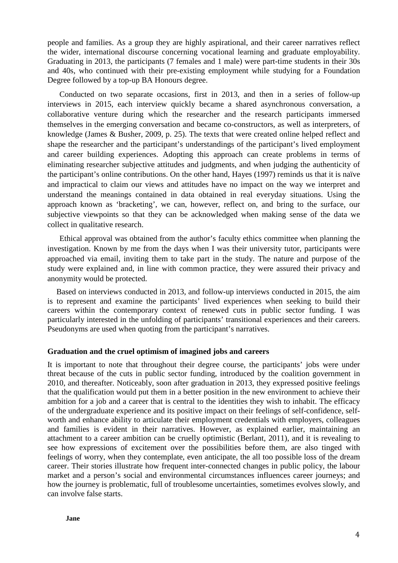people and families. As a group they are highly aspirational, and their career narratives reflect the wider, international discourse concerning vocational learning and graduate employability. Graduating in 2013, the participants (7 females and 1 male) were part-time students in their 30s and 40s, who continued with their pre-existing employment while studying for a Foundation Degree followed by a top-up BA Honours degree.

Conducted on two separate occasions, first in 2013, and then in a series of follow-up interviews in 2015, each interview quickly became a shared asynchronous conversation, a collaborative venture during which the researcher and the research participants immersed themselves in the emerging conversation and became co-constructors, as well as interpreters, of knowledge (James & Busher, 2009, p. 25). The texts that were created online helped reflect and shape the researcher and the participant's understandings of the participant's lived employment and career building experiences. Adopting this approach can create problems in terms of eliminating researcher subjective attitudes and judgments, and when judging the authenticity of the participant's online contributions. On the other hand, Hayes (1997) reminds us that it is naïve and impractical to claim our views and attitudes have no impact on the way we interpret and understand the meanings contained in data obtained in real everyday situations. Using the approach known as 'bracketing', we can, however, reflect on, and bring to the surface, our subjective viewpoints so that they can be acknowledged when making sense of the data we collect in qualitative research.

Ethical approval was obtained from the author's faculty ethics committee when planning the investigation. Known by me from the days when I was their university tutor, participants were approached via email, inviting them to take part in the study. The nature and purpose of the study were explained and, in line with common practice, they were assured their privacy and anonymity would be protected.

Based on interviews conducted in 2013, and follow-up interviews conducted in 2015, the aim is to represent and examine the participants' lived experiences when seeking to build their careers within the contemporary context of renewed cuts in public sector funding. I was particularly interested in the unfolding of participants' transitional experiences and their careers. Pseudonyms are used when quoting from the participant's narratives.

## **Graduation and the cruel optimism of imagined jobs and careers**

It is important to note that throughout their degree course, the participants' jobs were under threat because of the cuts in public sector funding, introduced by the coalition government in 2010, and thereafter. Noticeably, soon after graduation in 2013, they expressed positive feelings that the qualification would put them in a better position in the new environment to achieve their ambition for a job and a career that is central to the identities they wish to inhabit. The efficacy of the undergraduate experience and its positive impact on their feelings of self-confidence, selfworth and enhance ability to articulate their employment credentials with employers, colleagues and families is evident in their narratives. However, as explained earlier, maintaining an attachment to a career ambition can be cruelly optimistic (Berlant, 2011), and it is revealing to see how expressions of excitement over the possibilities before them, are also tinged with feelings of worry, when they contemplate, even anticipate, the all too possible loss of the dream career. Their stories illustrate how frequent inter-connected changes in public policy, the labour market and a person's social and environmental circumstances influences career journeys; and how the journey is problematic, full of troublesome uncertainties, sometimes evolves slowly, and can involve false starts.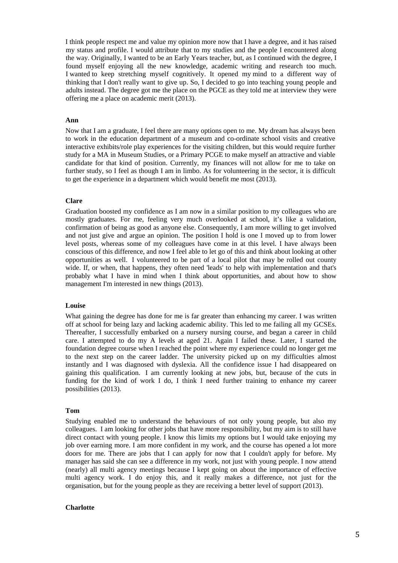I think people respect me and value my opinion more now that I have a degree, and it has raised my status and profile. I would attribute that to my studies and the people I encountered along the way. Originally, I wanted to be an Early Years teacher, but, as I continued with the degree, I found myself enjoying all the new knowledge, academic writing and research too much. I wanted to keep stretching myself cognitively. It opened my mind to a different way of thinking that I don't really want to give up. So, I decided to go into teaching young people and adults instead. The degree got me the place on the PGCE as they told me at interview they were offering me a place on academic merit (2013).

#### **Ann**

Now that I am a graduate, I feel there are many options open to me. My dream has always been to work in the education department of a museum and co-ordinate school visits and creative interactive exhibits/role play experiences for the visiting children, but this would require further study for a MA in Museum Studies, or a Primary PCGE to make myself an attractive and viable candidate for that kind of position. Currently, my finances will not allow for me to take on further study, so I feel as though I am in limbo. As for volunteering in the sector, it is difficult to get the experience in a department which would benefit me most (2013).

### **Clare**

Graduation boosted my confidence as I am now in a similar position to my colleagues who are mostly graduates. For me, feeling very much overlooked at school, it's like a validation, confirmation of being as good as anyone else. Consequently, I am more willing to get involved and not just give and argue an opinion. The position I hold is one I moved up to from lower level posts, whereas some of my colleagues have come in at this level. I have always been conscious of this difference, and now I feel able to let go of this and think about looking at other opportunities as well. I volunteered to be part of a local pilot that may be rolled out county wide. If, or when, that happens, they often need 'leads' to help with implementation and that's probably what I have in mind when I think about opportunities, and about how to show management I'm interested in new things (2013).

#### **Louise**

What gaining the degree has done for me is far greater than enhancing my career. I was written off at school for being lazy and lacking academic ability. This led to me failing all my GCSEs. Thereafter, I successfully embarked on a nursery nursing course, and began a career in child care. I attempted to do my A levels at aged 21. Again I failed these. Later, I started the foundation degree course when I reached the point where my experience could no longer get me to the next step on the career ladder. The university picked up on my difficulties almost instantly and I was diagnosed with dyslexia. All the confidence issue I had disappeared on gaining this qualification. I am currently looking at new jobs, but, because of the cuts in funding for the kind of work I do, I think I need further training to enhance my career possibilities (2013).

### **Tom**

Studying enabled me to understand the behaviours of not only young people, but also my colleagues. I am looking for other jobs that have more responsibility, but my aim is to still have direct contact with young people. I know this limits my options but I would take enjoying my job over earning more. I am more confident in my work, and the course has opened a lot more doors for me. There are jobs that I can apply for now that I couldn't apply for before. My manager has said she can see a difference in my work, not just with young people. I now attend (nearly) all multi agency meetings because I kept going on about the importance of effective multi agency work. I do enjoy this, and it really makes a difference, not just for the organisation, but for the young people as they are receiving a better level of support (2013).

#### **Charlotte**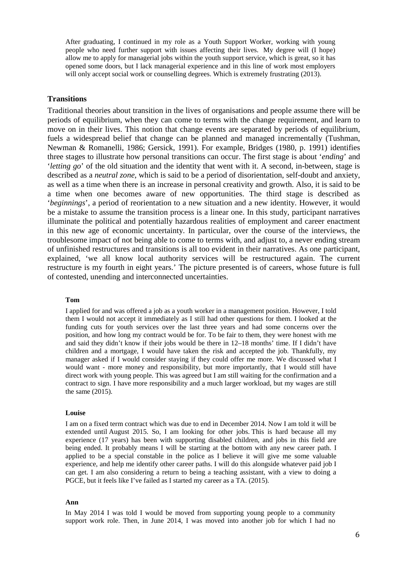After graduating, I continued in my role as a Youth Support Worker, working with young people who need further support with issues affecting their lives. My degree will (I hope) allow me to apply for managerial jobs within the youth support service, which is great, so it has opened some doors, but I lack managerial experience and in this line of work most employers will only accept social work or counselling degrees. Which is extremely frustrating (2013).

# **Transitions**

Traditional theories about transition in the lives of organisations and people assume there will be periods of equilibrium, when they can come to terms with the change requirement, and learn to move on in their lives. This notion that change events are separated by periods of equilibrium, fuels a widespread belief that change can be planned and managed incrementally (Tushman, Newman & Romanelli, 1986; Gersick, 1991). For example, Bridges (1980, p. 1991) identifies three stages to illustrate how personal transitions can occur. The first stage is about '*ending*' and '*letting go*' of the old situation and the identity that went with it. A second, in-between, stage is described as a *neutral zone*, which is said to be a period of disorientation, self-doubt and anxiety, as well as a time when there is an increase in personal creativity and growth. Also, it is said to be a time when one becomes aware of new opportunities. The third stage is described as '*beginnings*', a period of reorientation to a new situation and a new identity. However, it would be a mistake to assume the transition process is a linear one. In this study, participant narratives illuminate the political and potentially hazardous realities of employment and career enactment in this new age of economic uncertainty. In particular, over the course of the interviews, the troublesome impact of not being able to come to terms with, and adjust to, a never ending stream of unfinished restructures and transitions is all too evident in their narratives. As one participant, explained, 'we all know local authority services will be restructured again. The current restructure is my fourth in eight years.' The picture presented is of careers, whose future is full of contested, unending and interconnected uncertainties.

### **Tom**

I applied for and was offered a job as a youth worker in a management position. However, I told them I would not accept it immediately as I still had other questions for them. I looked at the funding cuts for youth services over the last three years and had some concerns over the position, and how long my contract would be for. To be fair to them, they were honest with me and said they didn't know if their jobs would be there in 12–18 months' time. If I didn't have children and a mortgage, I would have taken the risk and accepted the job. Thankfully, my manager asked if I would consider staying if they could offer me more. We discussed what I would want - more money and responsibility, but more importantly, that I would still have direct work with young people. This was agreed but I am still waiting for the confirmation and a contract to sign. I have more responsibility and a much larger workload, but my wages are still the same (2015).

#### **Louise**

I am on a fixed term contract which was due to end in December 2014. Now I am told it will be extended until August 2015. So, I am looking for other jobs. This is hard because all my experience (17 years) has been with supporting disabled children, and jobs in this field are being ended. It probably means I will be starting at the bottom with any new career path. I applied to be a special constable in the police as I believe it will give me some valuable experience, and help me identify other career paths. I will do this alongside whatever paid job I can get. I am also considering a return to being a teaching assistant, with a view to doing a PGCE, but it feels like I've failed as I started my career as a TA. (2015).

#### **Ann**

In May 2014 I was told I would be moved from supporting young people to a community support work role. Then, in June 2014, I was moved into another job for which I had no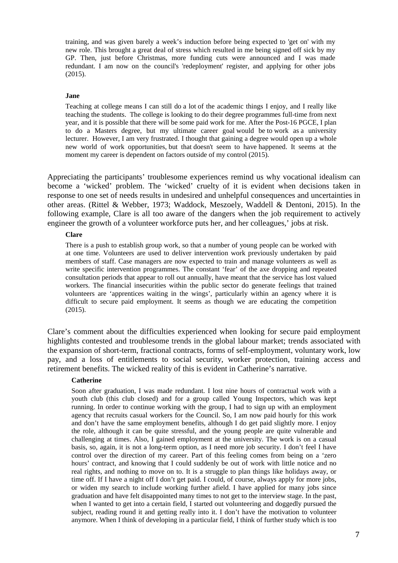training, and was given barely a week's induction before being expected to 'get on' with my new role. This brought a great deal of stress which resulted in me being signed off sick by my GP. Then, just before Christmas, more funding cuts were announced and I was made redundant. I am now on the council's 'redeployment' register, and applying for other jobs (2015).

### **Jane**

Teaching at college means I can still do a lot of the academic things I enjoy, and I really like teaching the students. The college is looking to do their degree programmes full-time from next year, and it is possible that there will be some paid work for me. After the Post-16 PGCE, I plan to do a Masters degree, but my ultimate career goal would be to work as a university lecturer. However, I am very frustrated. I thought that gaining a degree would open up a whole new world of work opportunities, but that doesn't seem to have happened. It seems at the moment my career is dependent on factors outside of my control (2015).

Appreciating the participants' troublesome experiences remind us why vocational idealism can become a 'wicked' problem. The 'wicked' cruelty of it is evident when decisions taken in response to one set of needs results in undesired and unhelpful consequences and uncertainties in other areas. (Rittel & Webber, 1973; Waddock, Meszoely, Waddell & Dentoni, 2015). In the following example, Clare is all too aware of the dangers when the job requirement to actively engineer the growth of a volunteer workforce puts her, and her colleagues,' jobs at risk.

## **Clare**

There is a push to establish group work, so that a number of young people can be worked with at one time. Volunteers are used to deliver intervention work previously undertaken by paid members of staff. Case managers are now expected to train and manage volunteers as well as write specific intervention programmes. The constant 'fear' of the axe dropping and repeated consultation periods that appear to roll out annually, have meant that the service has lost valued workers. The financial insecurities within the public sector do generate feelings that trained volunteers are 'apprentices waiting in the wings', particularly within an agency where it is difficult to secure paid employment. It seems as though we are educating the competition (2015).

Clare's comment about the difficulties experienced when looking for secure paid employment highlights contested and troublesome trends in the global labour market; trends associated with the expansion of short-term, fractional contracts, forms of self-employment, voluntary work, low pay, and a loss of entitlements to social security, worker protection, training access and retirement benefits. The wicked reality of this is evident in Catherine's narrative.

## **Catherine**

Soon after graduation, I was made redundant. I lost nine hours of contractual work with a youth club (this club closed) and for a group called Young Inspectors, which was kept running. In order to continue working with the group, I had to sign up with an employment agency that recruits casual workers for the Council. So, I am now paid hourly for this work and don't have the same employment benefits, although I do get paid slightly more. I enjoy the role, although it can be quite stressful, and the young people are quite vulnerable and challenging at times. Also, I gained employment at the university. The work is on a casual basis, so, again, it is not a long-term option, as I need more job security. I don't feel I have control over the direction of my career. Part of this feeling comes from being on a 'zero hours' contract, and knowing that I could suddenly be out of work with little notice and no real rights, and nothing to move on to. It is a struggle to plan things like holidays away, or time off. If I have a night off I don't get paid. I could, of course, always apply for more jobs, or widen my search to include working further afield. I have applied for many jobs since graduation and have felt disappointed many times to not get to the interview stage. In the past, when I wanted to get into a certain field, I started out volunteering and doggedly pursued the subject, reading round it and getting really into it. I don't have the motivation to volunteer anymore. When I think of developing in a particular field, I think of further study which is too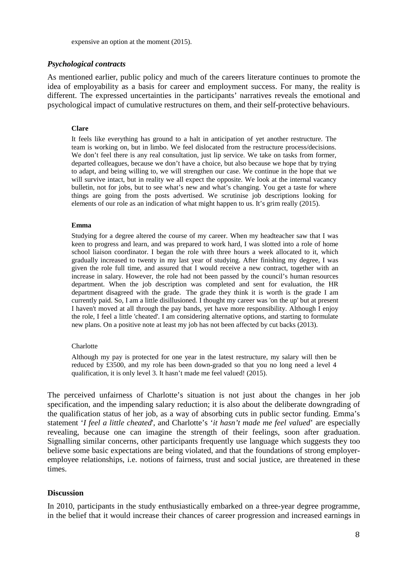expensive an option at the moment (2015).

# *Psychological contracts*

As mentioned earlier, public policy and much of the careers literature continues to promote the idea of employability as a basis for career and employment success. For many, the reality is different. The expressed uncertainties in the participants' narratives reveals the emotional and psychological impact of cumulative restructures on them, and their self-protective behaviours.

# **Clare**

It feels like everything has ground to a halt in anticipation of yet another restructure. The team is working on, but in limbo. We feel dislocated from the restructure process/decisions. We don't feel there is any real consultation, just lip service. We take on tasks from former, departed colleagues, because we don't have a choice, but also because we hope that by trying to adapt, and being willing to, we will strengthen our case. We continue in the hope that we will survive intact, but in reality we all expect the opposite. We look at the internal vacancy bulletin, not for jobs, but to see what's new and what's changing. You get a taste for where things are going from the posts advertised. We scrutinise job descriptions looking for elements of our role as an indication of what might happen to us. It's grim really (2015).

## **Emma**

Studying for a degree altered the course of my career. When my headteacher saw that I was keen to progress and learn, and was prepared to work hard, I was slotted into a role of home school liaison coordinator. I began the role with three hours a week allocated to it, which gradually increased to twenty in my last year of studying. After finishing my degree, I was given the role full time, and assured that I would receive a new contract, together with an increase in salary. However, the role had not been passed by the council's human resources department. When the job description was completed and sent for evaluation, the HR department disagreed with the grade. The grade they think it is worth is the grade I am currently paid. So, I am a little disillusioned. I thought my career was 'on the up' but at present I haven't moved at all through the pay bands, yet have more responsibility. Although I enjoy the role, I feel a little 'cheated'. I am considering alternative options, and starting to formulate new plans. On a positive note at least my job has not been affected by cut backs (2013).

## **Charlotte**

Although my pay is protected for one year in the latest restructure, my salary will then be reduced by £3500, and my role has been down-graded so that you no long need a level 4 qualification, it is only level 3. It hasn't made me feel valued! (2015).

The perceived unfairness of Charlotte's situation is not just about the changes in her job specification, and the impending salary reduction; it is also about the deliberate downgrading of the qualification status of her job, as a way of absorbing cuts in public sector funding. Emma's statement '*I feel a little cheated*', and Charlotte's '*it hasn't made me feel valued*' are especially revealing, because one can imagine the strength of their feelings, soon after graduation. Signalling similar concerns, other participants frequently use language which suggests they too believe some basic expectations are being violated, and that the foundations of strong employeremployee relationships, i.e. notions of fairness, trust and social justice, are threatened in these times.

# **Discussion**

In 2010, participants in the study enthusiastically embarked on a three-year degree programme, in the belief that it would increase their chances of career progression and increased earnings in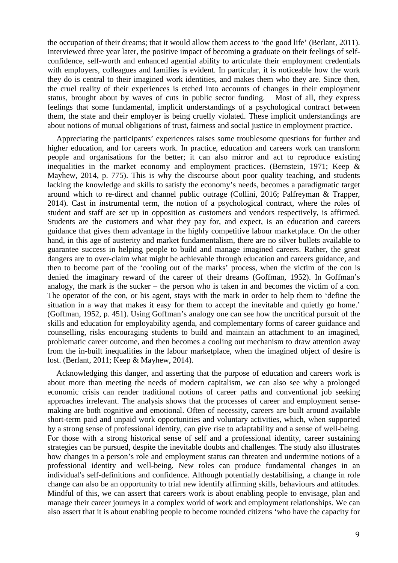the occupation of their dreams; that it would allow them access to 'the good life' (Berlant, 2011). Interviewed three year later, the positive impact of becoming a graduate on their feelings of selfconfidence, self-worth and enhanced agential ability to articulate their employment credentials with employers, colleagues and families is evident. In particular, it is noticeable how the work they do is central to their imagined work identities, and makes them who they are. Since then, the cruel reality of their experiences is etched into accounts of changes in their employment status, brought about by waves of cuts in public sector funding. Most of all, they express feelings that some fundamental, implicit understandings of a psychological contract between them, the state and their employer is being cruelly violated. These implicit understandings are about notions of mutual obligations of trust, fairness and social justice in employment practice.

Appreciating the participants' experiences raises some troublesome questions for further and higher education, and for careers work. In practice, education and careers work can transform people and organisations for the better; it can also mirror and act to reproduce existing inequalities in the market economy and employment practices. (Bernstein, 1971; Keep & Mayhew, 2014, p. 775). This is why the discourse about poor quality teaching, and students lacking the knowledge and skills to satisfy the economy's needs, becomes a paradigmatic target around which to re-direct and channel public outrage (Collini, 2016; Palfreyman & Trapper, 2014). Cast in instrumental term, the notion of a psychological contract, where the roles of student and staff are set up in opposition as customers and vendors respectively, is affirmed. Students are the customers and what they pay for, and expect, is an education and careers guidance that gives them advantage in the highly competitive labour marketplace. On the other hand, in this age of austerity and market fundamentalism, there are no silver bullets available to guarantee success in helping people to build and manage imagined careers. Rather, the great dangers are to over-claim what might be achievable through education and careers guidance, and then to become part of the 'cooling out of the marks' process, when the victim of the con is denied the imaginary reward of the career of their dreams (Goffman, 1952). In Goffman's analogy, the mark is the sucker – the person who is taken in and becomes the victim of a con. The operator of the con, or his agent, stays with the mark in order to help them to 'define the situation in a way that makes it easy for them to accept the inevitable and quietly go home.' (Goffman, 1952, p. 451). Using Goffman's analogy one can see how the uncritical pursuit of the skills and education for employability agenda, and complementary forms of career guidance and counselling, risks encouraging students to build and maintain an attachment to an imagined, problematic career outcome, and then becomes a cooling out mechanism to draw attention away from the in-built inequalities in the labour marketplace, when the imagined object of desire is lost. (Berlant, 2011; Keep & Mayhew, 2014).

Acknowledging this danger, and asserting that the purpose of education and careers work is about more than meeting the needs of modern capitalism, we can also see why a prolonged economic crisis can render traditional notions of career paths and conventional job seeking approaches irrelevant. The analysis shows that the processes of career and employment sensemaking are both cognitive and emotional. Often of necessity, careers are built around available short-term paid and unpaid work opportunities and voluntary activities, which, when supported by a strong sense of professional identity, can give rise to adaptability and a sense of well-being. For those with a strong historical sense of self and a professional identity, career sustaining strategies can be pursued, despite the inevitable doubts and challenges. The study also illustrates how changes in a person's role and employment status can threaten and undermine notions of a professional identity and well-being. New roles can produce fundamental changes in an individual's self-definitions and confidence. Although potentially destabilising, a change in role change can also be an opportunity to trial new identify affirming skills, behaviours and attitudes. Mindful of this, we can assert that careers work is about enabling people to envisage, plan and manage their career journeys in a complex world of work and employment relationships. We can also assert that it is about enabling people to become rounded citizens 'who have the capacity for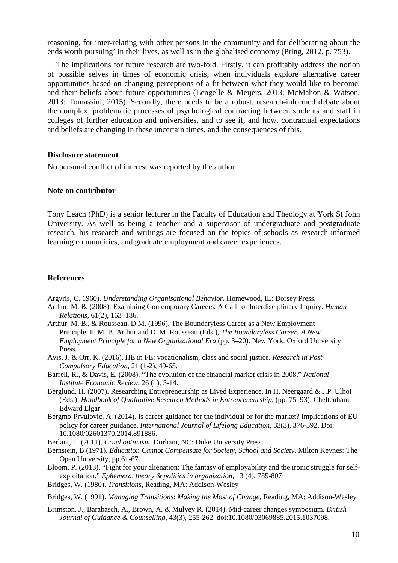reasoning, for inter-relating with other persons in the community and for deliberating about the ends worth pursuing' in their lives, as well as in the globalised economy (Pring, 2012, p. 753).

The implications for future research are two-fold. Firstly, it can profitably address the notion of possible selves in times of economic crisis, when individuals explore alternative career opportunities based on changing perceptions of a fit between what they would like to become, and their beliefs about future opportunities (Lengelle & Meijers, 2013; McMahon & Watson, 2013; Tomassini, 2015). Secondly, there needs to be a robust, research-informed debate about the complex, problematic processes of psychological contracting between students and staff in colleges of further education and universities, and to see if, and how, contractual expectations and beliefs are changing in these uncertain times, and the consequences of this.

### **Disclosure statement**

No personal conflict of interest was reported by the author

## **Note on contributor**

Tony Leach (PhD) is a senior lecturer in the Faculty of Education and Theology at York St John University. As well as being a teacher and a supervisor of undergraduate and postgraduate research, his research and writings are focused on the topics of schools as research-informed learning communities, and graduate employment and career experiences.

### **References**

Argyris, C. 1960). *Understanding Organisational Behavior*. Homewood, IL: Dorsey Press.

- Arthur, M. B. (2008). Examining Contemporary Careers: A Call for Interdisciplinary Inquiry. *Human Relations*, 61(2), 163–186.
- Arthur, M. B., & Rousseau, D.M. (1996). The Boundaryless Career as a New Employment Principle. In M. B. Arthur and D. M. Rousseau (Eds.), *The Boundaryless Career: A New Employment Principle for a New Organizational Era* (pp. 3–20). New York: Oxford University Press.
- Avis, J. & Orr, K. (2016). HE in FE: vocationalism, class and social justice. *Research in Post-Compulsory Education*, 21 (1-2), 49-65.
- Barrell, R., & Davis, E. (2008). "The evolution of the financial market crisis in 2008." *National Institute Economic Review*, 26 (1), 5-14.
- Berglund, H. (2007). Researching Entrepreneurship as Lived Experience. In H. Neergaard & J.P. Ulhoi (Eds.), *Handbook of Qualitative Research Methods in Entrepreneurship*, (pp. 75–93). Cheltenham: Edward Elgar.
- Bergmo-Prvulovic, A. (2014). Is career guidance for the individual or for the market? Implications of EU policy for career guidance. *International Journal of Lifelong Education*, 33(3), 376-392. Doi: 10.1080/02601370.2014.891886.
- Berlant, L. (2011). *Cruel optimism*. Durham, NC: Duke University Press.
- Bernstein, B (1971). *Education Cannot Compensate for Society, School and Society*, Milton Keynes: The Open University, pp.61-67.
- Bloom, P. (2013). "Fight for your alienation: The fantasy of employability and the ironic struggle for selfexploitation." *Ephemera, theory & politics in organization*, 13 (4), 785-807
- Bridges, W. (1980). *Transitions*, Reading, MA: Addison-Wesley
- Bridges, W. (1991). *Managing Transitions*: *Making the Most of Change*, Reading, MA: Addison-Wesley
- Brimston. J., Barabasch, A., Brown, A. & Mulvey R. (2014). Mid-career changes symposium. *British Journal of Guidance & Counselling*, 43(3), 255-262. doi:10.1080/03069885.2015.1037098.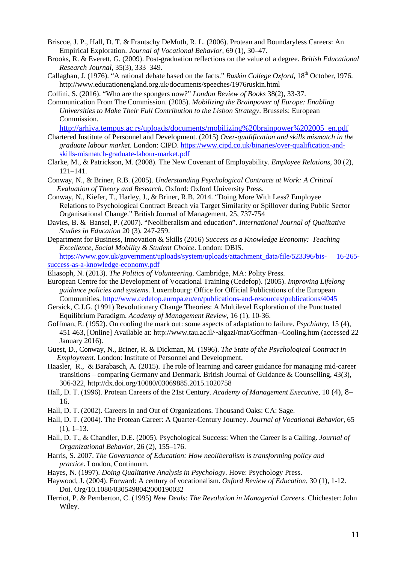- Briscoe, J. P., Hall, D. T. & Frautschy DeMuth, R. L. (2006). Protean and Boundaryless Careers: An Empirical Exploration. *Journal of Vocational Behavior,* 69 (1), 30–47.
- Brooks, R. & Everett, G. (2009). Post-graduation reflections on the value of a degree. *British Educational Research Journal,* 35(3), 333–349.
- Callaghan, J. (1976). "A rational debate based on the facts." *Ruskin College Oxford*, 18<sup>th</sup> October, 1976. <http://www.educationengland.org.uk/documents/speeches/1976ruskin.html>
- Collini, S. (2016). "Who are the spongers now?" *London Review of Books* 38(2), 33-37.
- Communication From The Commission. (2005). *Mobilizing the Brainpower of Europe: Enabling Universities to Make Their Full Contribution to the Lisbon Strategy*. Brussels: European Commission.

[http://arhiva.tempus.ac.rs/uploads/documents/mobilizing%20brainpower%202005\\_en.pdf](http://arhiva.tempus.ac.rs/uploads/documents/mobilizing%20brainpower%202005_en.pdf)

- Chartered Institute of Personnel and Development. (2015) *Over-qualification and skills mismatch in the graduate labour market*. London: CIPD. [https://www.cipd.co.uk/binaries/over-qualification-and](https://www.cipd.co.uk/binaries/over-qualification-and-skills-mismatch-graduate-labour-market.pdf)[skills-mismatch-graduate-labour-market.pdf](https://www.cipd.co.uk/binaries/over-qualification-and-skills-mismatch-graduate-labour-market.pdf)
- Clarke, M., & Patrickson, M. (2008). The New Covenant of Employability. *Employee Relations*, 30 (2), 121–141.
- Conway, N., & Briner, R.B. (2005). *Understanding Psychological Contracts at Work: A Critical Evaluation of Theory and Research*. Oxford: Oxford University Press.
- Conway, N., Kiefer, T., Harley, J., & Briner, R.B. 2014. "Doing More With Less? Employee Relations to Psychological Contract Breach via Target Similarity or Spillover during Public Sector Organisational Change." British Journal of Management, 25, 737-754
- Davies, B. & Bansel, P. (2007). "Neoliberalism and education". *International Journal of Qualitative Studies in Education* 20 (3), 247-259.
- Department for Business, Innovation & Skills (2016) *Success as a Knowledge Economy: Teaching Excellence, Social Mobility & Student Choice*. London: DBIS.

[https://www.gov.uk/government/uploads/system/uploads/attachment\\_data/file/523396/bis-](https://www.gov.uk/government/uploads/system/uploads/attachment_data/file/523396/bis-%0916-265-success-as-a-knowledge-economy.pdf) 16-265 [success-as-a-knowledge-economy.pdf](https://www.gov.uk/government/uploads/system/uploads/attachment_data/file/523396/bis-%0916-265-success-as-a-knowledge-economy.pdf)

- Eliasoph, N. (2013). *The Politics of Volunteering*. Cambridge, MA: Polity Press.
- European Centre for the Development of Vocational Training (Cedefop). (2005). *Improving Lifelong guidance policies and systems*. Luxembourg: Office for Official Publications of the European Communities[. http://www.cedefop.europa.eu/en/publications-and-resources/publications/4045](http://www.cedefop.europa.eu/en/publications-and-resources/publications/4045)
- Gersick, C.J.G. (1991) Revolutionary Change Theories: A Multilevel Exploration of the Punctuated Equilibrium Paradigm. *Academy of Management Review*, 16 (1), 10-36.
- Goffman, E. (1952). On cooling the mark out: some aspects of adaptation to failure. *Psychiatry*, 15 (4), 451 463, [Online] Available at: http://www.tau.ac.il/~algazi/mat/Goffman--Cooling.htm (accessed 22 January 2016).
- Guest, D., Conway, N., Briner, R. & Dickman, M. (1996). *The State of the Psychological Contract in Employment*. London: Institute of Personnel and Development.
- Haasler, R., & Barabasch, A. (2015). The role of learning and career guidance for managing mid-career transitions – comparing Germany and Denmark. British Journal of Guidance & Counselling, 43(3), 306-322, http://dx.doi.org/10080/03069885.2015.1020758
- Hall, D. T. (1996). Protean Careers of the 21st Century. *Academy of Management Executive*, 10 (4), 8– 16.
- Hall, D. T. (2002). Careers In and Out of Organizations. Thousand Oaks: CA: Sage.
- Hall, D. T. (2004). The Protean Career: A Quarter-Century Journey. *Journal of Vocational Behavior,* 65 (1), 1–13.
- Hall, D. T., & Chandler, D.E. (2005). Psychological Success: When the Career Is a Calling. *Journal of Organizational Behavior*, 26 (2), 155–176.
- Harris, S. 2007. *The Governance of Education: How neoliberalism is transforming policy and practice*. London, Continuum.
- Hayes, N. (1997). *Doing Qualitative Analysis in Psychology*. Hove: Psychology Press.
- Haywood, J. (2004). Forward: A century of vocationalism. *Oxford Review of Education*, 30 (1), 1-12. Doi. Org/10.1080/0305498042000190032
- Herriot, P. & Pemberton, C. (1995) *New Deals: The Revolution in Managerial Careers*. Chichester: John Wiley.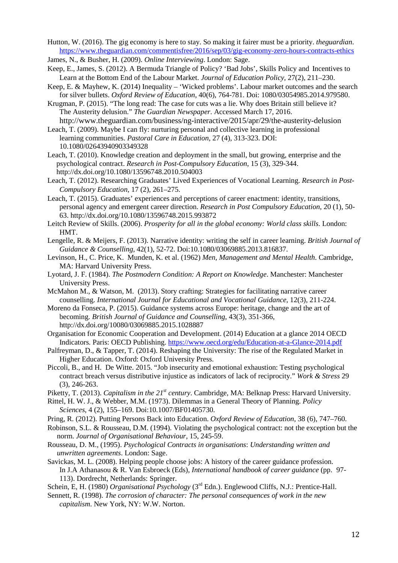Hutton, W. (2016). The gig economy is here to stay. So making it fairer must be a priority. *theguardian*. <https://www.theguardian.com/commentisfree/2016/sep/03/gig-economy-zero-hours-contracts-ethics>

James, N., & Busher, H. (2009). *Online Interviewing*. London: Sage.

Keep, E., James, S. (2012). A Bermuda Triangle of Policy? 'Bad Jobs', Skills Policy and Incentives to Learn at the Bottom End of the Labour Market. *Journal of Education Policy,* 27(2), 211–230.

Keep, E. & Mayhew, K. (2014) Inequality – 'Wicked problems'. Labour market outcomes and the search for silver bullets. *Oxford Review of Education*, 40(6), 764-781. Doi: 1080/03054985.2014.979580.

Krugman, P. (2015). "The long read: The case for cuts was a lie. Why does Britain still believe it? The Austerity delusion." *The Guardian Newspaper*. Accessed March 17, 2016. http://www.theguardian.com/business/ng-interactive/2015/apr/29/the-austerity-delusion

Leach, T. (2009). Maybe I can fly: nurturing personal and collective learning in professional learning communities. *Pastoral Care in Education*, 27 (4), 313-323. DOI: 10.1080/02643940903349328

- Leach, T. (2010). Knowledge creation and deployment in the small, but growing, enterprise and the psychological contract. *Research in Post-Compulsory Education*, 15 (3), 329-344. http://dx.doi.org/10.1080/13596748.2010.504003
- Leach, T. (2012). Researching Graduates' Lived Experiences of Vocational Learning. *Research in Post-Compulsory Education*, 17 (2), 261–275.
- Leach, T. (2015). Graduates' experiences and perceptions of career enactment: identity, transitions, personal agency and emergent career direction. *Research in Post Compulsory Education*, 20 (1), 50- 63. http://dx.doi.org/10.1080/13596748.2015.993872

Leitch Review of Skills. (2006). *Prosperity for all in the global economy: World class skills*. London: HMT.

Lengelle, R. & Meijers, F. (2013). Narrative identity: writing the self in career learning. *British Journal of Guidance & Counselling*, 42(1), 52-72. Doi:10.1080/03069885.2013.816837.

Levinson, H., C. Price, K. Munden, K. et al. (1962) *Men, Management and Mental Health*. Cambridge, MA: Harvard University Press.

- Lyotard, J. F. (1984). *The Postmodern Condition: A Report on Knowledge*. Manchester: Manchester University Press.
- McMahon M., & Watson, M. (2013). Story crafting: Strategies for facilitating narrative career counselling. *International Journal for Educational and Vocational Guidance*, 12(3), 211-224.
- Moreno da Fonseca, P. (2015). Guidance systems across Europe: heritage, change and the art of becoming. *British Journal of Guidance and Counselling*, 43(3), 351-366, http://dx.doi.org/10080/03069885.2015.1028887
- Organisation for Economic Cooperation and Development. (2014) Education at a glance 2014 OECD Indicators. Paris: OECD Publishing.<https://www.oecd.org/edu/Education-at-a-Glance-2014.pdf>
- Palfreyman, D., & Tapper, T. (2014). Reshaping the University: The rise of the Regulated Market in Higher Education. Oxford: Oxford University Press.
- Piccoli, B., and H. De Witte. 2015. "Job insecurity and emotional exhaustion: Testing psychological contract breach versus distributive injustice as indicators of lack of reciprocity." *Work & Stress* 29 (3), 246-263.
- Piketty, T. (2013). *Capitalism in the 21<sup>st</sup> century*. Cambridge, MA: Belknap Press: Harvard University.
- Rittel, H. W. J., & Webber, M.M. (1973). Dilemmas in a General Theory of Planning. *Policy Sciences,* 4 (2), 155–169. Doi:10.1007/BF01405730.
- Pring, R. (2012). Putting Persons Back into Education. *Oxford Review of Education*, 38 (6), 747–760.
- Robinson, S.L. & Rousseau, D.M. (1994). Violating the psychological contract: not the exception but the norm. *Journal of Organisational Behaviour,* 15, 245-59.
- Rousseau, D. M., (1995). *Psychological Contracts in organisations*: *Understanding written and unwritten agreements*. London: Sage.
- Savickas, M. L. (2008). Helping people choose jobs: A history of the career guidance profession. In J.A Athanasou & R. Van Esbroeck (Eds), *International handbook of career guidance* (pp. 97- 113). Dordrecht, Netherlands: Springer.
- Schein, E, H. (1980) *Organisational Psychology* (3<sup>rd</sup> Edn.). Englewood Cliffs, N.J.: Prentice-Hall.
- Sennett, R. (1998). *The corrosion of character: The personal consequences of work in the new capitalism*. New York, NY: W.W. Norton.